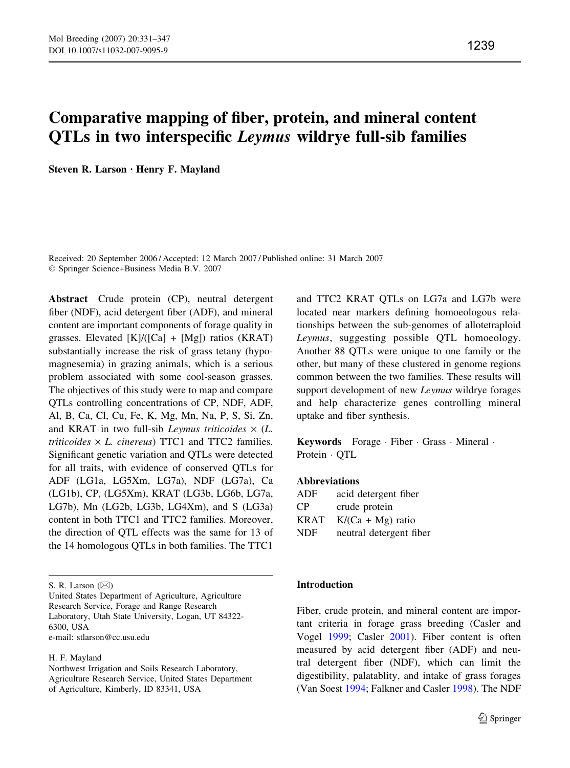# Comparative mapping of fiber, protein, and mineral content QTLs in two interspecific Leymus wildrye full-sib families

Steven R. Larson · Henry F. Mayland

Received: 20 September 2006 / Accepted: 12 March 2007 / Published online: 31 March 2007 Springer Science+Business Media B.V. 2007

Abstract Crude protein (CP), neutral detergent fiber (NDF), acid detergent fiber (ADF), and mineral content are important components of forage quality in grasses. Elevated  $[K]/([Ca] + [Mg])$  ratios (KRAT) substantially increase the risk of grass tetany (hypomagnesemia) in grazing animals, which is a serious problem associated with some cool-season grasses. The objectives of this study were to map and compare QTLs controlling concentrations of CP, NDF, ADF, Al, B, Ca, Cl, Cu, Fe, K, Mg, Mn, Na, P, S, Si, Zn, and KRAT in two full-sib *Leymus triticoides*  $\times$  (*L*.  $triticoides \times L.$  cinereus) TTC1 and TTC2 families. Significant genetic variation and QTLs were detected for all traits, with evidence of conserved QTLs for ADF (LG1a, LG5Xm, LG7a), NDF (LG7a), Ca (LG1b), CP, (LG5Xm), KRAT (LG3b, LG6b, LG7a, LG7b), Mn (LG2b, LG3b, LG4Xm), and S (LG3a) content in both TTC1 and TTC2 families. Moreover, the direction of QTL effects was the same for 13 of the 14 homologous QTLs in both families. The TTC1

S. R. Larson  $(\boxtimes)$ 

United States Department of Agriculture, Agriculture Research Service, Forage and Range Research Laboratory, Utah State University, Logan, UT 84322- 6300, USA e-mail: stlarson@cc.usu.edu

H. F. Mayland

Northwest Irrigation and Soils Research Laboratory, Agriculture Research Service, United States Department of Agriculture, Kimberly, ID 83341, USA

and TTC2 KRAT QTLs on LG7a and LG7b were located near markers defining homoeologous relationships between the sub-genomes of allotetraploid Leymus, suggesting possible QTL homoeology. Another 88 QTLs were unique to one family or the other, but many of these clustered in genome regions common between the two families. These results will support development of new *Leymus* wildrye forages and help characterize genes controlling mineral uptake and fiber synthesis.

**Keywords** Forage Fiber Grass Mineral Protein · OTL

#### Abbreviations

| acid detergent fiber    |
|-------------------------|
| crude protein           |
| $K/(Ca + Mg)$ ratio     |
| neutral detergent fiber |
|                         |

## Introduction

Fiber, crude protein, and mineral content are important criteria in forage grass breeding (Casler and Vogel [1999;](#page-14-0) Casler [2001](#page-14-0)). Fiber content is often measured by acid detergent fiber (ADF) and neutral detergent fiber (NDF), which can limit the digestibility, palatablity, and intake of grass forages (Van Soest [1994](#page-15-0); Falkner and Casler [1998](#page-14-0)). The NDF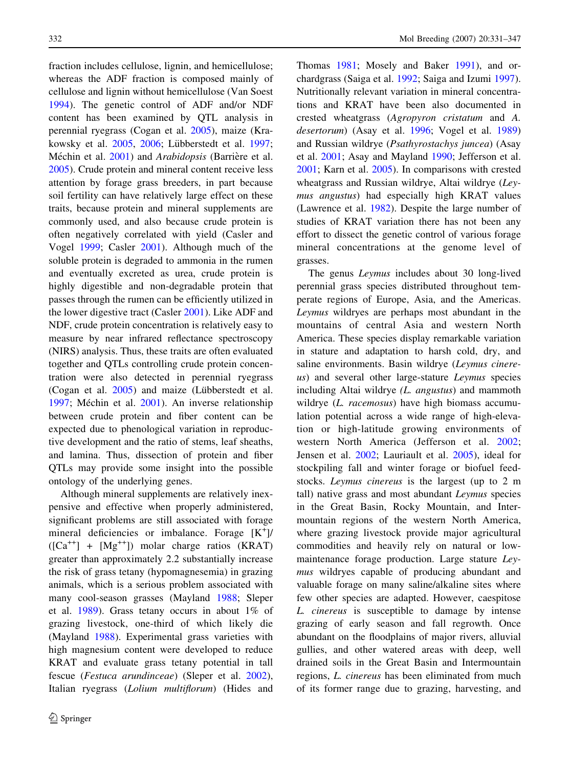fraction includes cellulose, lignin, and hemicellulose; whereas the ADF fraction is composed mainly of cellulose and lignin without hemicellulose (Van Soest [1994\)](#page-15-0). The genetic control of ADF and/or NDF content has been examined by QTL analysis in perennial ryegrass (Cogan et al. [2005](#page-14-0)), maize (Kra-kowsky et al. [2005,](#page-15-0) [2006](#page-15-0); Lübberstedt et al. [1997](#page-15-0); Méchin et al. [2001](#page-15-0)) and Arabidopsis (Barrière et al. [2005\)](#page-14-0). Crude protein and mineral content receive less attention by forage grass breeders, in part because soil fertility can have relatively large effect on these traits, because protein and mineral supplements are commonly used, and also because crude protein is often negatively correlated with yield (Casler and Vogel [1999](#page-14-0); Casler [2001](#page-14-0)). Although much of the soluble protein is degraded to ammonia in the rumen and eventually excreted as urea, crude protein is highly digestible and non-degradable protein that passes through the rumen can be efficiently utilized in the lower digestive tract (Casler [2001\)](#page-14-0). Like ADF and NDF, crude protein concentration is relatively easy to measure by near infrared reflectance spectroscopy (NIRS) analysis. Thus, these traits are often evaluated together and QTLs controlling crude protein concentration were also detected in perennial ryegrass (Cogan et al.  $2005$ ) and maize (Lübberstedt et al. [1997;](#page-15-0) Méchin et al. [2001\)](#page-15-0). An inverse relationship between crude protein and fiber content can be expected due to phenological variation in reproductive development and the ratio of stems, leaf sheaths, and lamina. Thus, dissection of protein and fiber QTLs may provide some insight into the possible ontology of the underlying genes.

Although mineral supplements are relatively inexpensive and effective when properly administered, significant problems are still associated with forage mineral deficiencies or imbalance. Forage [K<sup>+</sup>]/  $([Ca^{++}] + [Mg^{++}]$  molar charge ratios (KRAT) greater than approximately 2.2 substantially increase the risk of grass tetany (hypomagnesemia) in grazing animals, which is a serious problem associated with many cool-season grasses (Mayland [1988;](#page-15-0) Sleper et al. [1989](#page-15-0)). Grass tetany occurs in about 1% of grazing livestock, one-third of which likely die (Mayland [1988](#page-15-0)). Experimental grass varieties with high magnesium content were developed to reduce KRAT and evaluate grass tetany potential in tall fescue (Festuca arundinceae) (Sleper et al. [2002](#page-15-0)), Italian ryegrass (Lolium multiflorum) (Hides and

Thomas [1981;](#page-14-0) Mosely and Baker [1991\)](#page-15-0), and orchardgrass (Saiga et al. [1992;](#page-15-0) Saiga and Izumi [1997](#page-15-0)). Nutritionally relevant variation in mineral concentrations and KRAT have been also documented in crested wheatgrass (Agropyron cristatum and A. desertorum) (Asay et al. [1996;](#page-14-0) Vogel et al. [1989\)](#page-15-0) and Russian wildrye (Psathyrostachys juncea) (Asay et al. [2001](#page-14-0); Asay and Mayland [1990](#page-14-0); Jefferson et al. [2001;](#page-15-0) Karn et al. [2005](#page-15-0)). In comparisons with crested wheatgrass and Russian wildrye, Altai wildrye (Leymus angustus) had especially high KRAT values (Lawrence et al. [1982](#page-15-0)). Despite the large number of studies of KRAT variation there has not been any effort to dissect the genetic control of various forage mineral concentrations at the genome level of grasses.

The genus Leymus includes about 30 long-lived perennial grass species distributed throughout temperate regions of Europe, Asia, and the Americas. Leymus wildryes are perhaps most abundant in the mountains of central Asia and western North America. These species display remarkable variation in stature and adaptation to harsh cold, dry, and saline environments. Basin wildrye (Leymus cinereus) and several other large-stature Leymus species including Altai wildrye (L. angustus) and mammoth wildrye (L. racemosus) have high biomass accumulation potential across a wide range of high-elevation or high-latitude growing environments of western North America (Jefferson et al. [2002](#page-15-0); Jensen et al. [2002](#page-15-0); Lauriault et al. [2005\)](#page-15-0), ideal for stockpiling fall and winter forage or biofuel feedstocks. Leymus cinereus is the largest (up to 2 m tall) native grass and most abundant Leymus species in the Great Basin, Rocky Mountain, and Intermountain regions of the western North America, where grazing livestock provide major agricultural commodities and heavily rely on natural or lowmaintenance forage production. Large stature Leymus wildryes capable of producing abundant and valuable forage on many saline/alkaline sites where few other species are adapted. However, caespitose L. cinereus is susceptible to damage by intense grazing of early season and fall regrowth. Once abundant on the floodplains of major rivers, alluvial gullies, and other watered areas with deep, well drained soils in the Great Basin and Intermountain regions, L. cinereus has been eliminated from much of its former range due to grazing, harvesting, and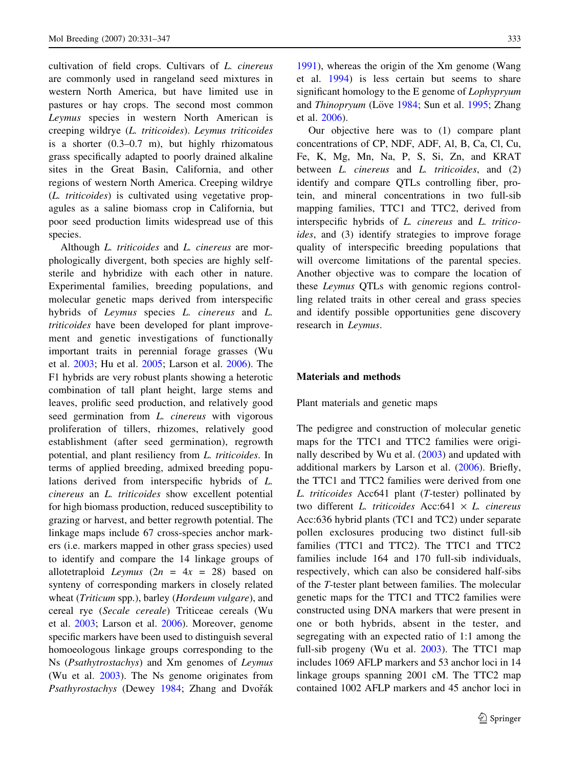cultivation of field crops. Cultivars of L. cinereus are commonly used in rangeland seed mixtures in western North America, but have limited use in pastures or hay crops. The second most common Leymus species in western North American is creeping wildrye (L. triticoides). Leymus triticoides is a shorter (0.3–0.7 m), but highly rhizomatous grass specifically adapted to poorly drained alkaline sites in the Great Basin, California, and other regions of western North America. Creeping wildrye (L. triticoides) is cultivated using vegetative propagules as a saline biomass crop in California, but poor seed production limits widespread use of this species.

Although *L. triticoides* and *L. cinereus* are morphologically divergent, both species are highly selfsterile and hybridize with each other in nature. Experimental families, breeding populations, and molecular genetic maps derived from interspecific hybrids of Leymus species L. cinereus and L. triticoides have been developed for plant improvement and genetic investigations of functionally important traits in perennial forage grasses (Wu et al. [2003;](#page-15-0) Hu et al. [2005](#page-14-0); Larson et al. [2006](#page-15-0)). The F1 hybrids are very robust plants showing a heterotic combination of tall plant height, large stems and leaves, prolific seed production, and relatively good seed germination from *L. cinereus* with vigorous proliferation of tillers, rhizomes, relatively good establishment (after seed germination), regrowth potential, and plant resiliency from L. triticoides. In terms of applied breeding, admixed breeding populations derived from interspecific hybrids of L. cinereus an L. triticoides show excellent potential for high biomass production, reduced susceptibility to grazing or harvest, and better regrowth potential. The linkage maps include 67 cross-species anchor markers (i.e. markers mapped in other grass species) used to identify and compare the 14 linkage groups of allotetraploid Leymus  $(2n = 4x = 28)$  based on synteny of corresponding markers in closely related wheat (Triticum spp.), barley (Hordeum vulgare), and cereal rye (Secale cereale) Triticeae cereals (Wu et al. [2003;](#page-15-0) Larson et al. [2006\)](#page-15-0). Moreover, genome specific markers have been used to distinguish several homoeologous linkage groups corresponding to the Ns (Psathytrostachys) and Xm genomes of Leymus (Wu et al. [2003\)](#page-15-0). The Ns genome originates from Psathyrostachys (Dewey [1984](#page-14-0); Zhang and Dvořák

[1991\)](#page-16-0), whereas the origin of the Xm genome (Wang et al. [1994](#page-15-0)) is less certain but seems to share significant homology to the E genome of Lophypryum and Thinopryum (Löve [1984](#page-15-0); Sun et al. [1995;](#page-15-0) Zhang et al. [2006\)](#page-16-0).

Our objective here was to (1) compare plant concentrations of CP, NDF, ADF, Al, B, Ca, Cl, Cu, Fe, K, Mg, Mn, Na, P, S, Si, Zn, and KRAT between *L. cinereus* and *L. triticoides*, and (2) identify and compare QTLs controlling fiber, protein, and mineral concentrations in two full-sib mapping families, TTC1 and TTC2, derived from interspecific hybrids of L. cinereus and L. triticoides, and (3) identify strategies to improve forage quality of interspecific breeding populations that will overcome limitations of the parental species. Another objective was to compare the location of these Leymus QTLs with genomic regions controlling related traits in other cereal and grass species and identify possible opportunities gene discovery research in Leymus.

### Materials and methods

Plant materials and genetic maps

The pedigree and construction of molecular genetic maps for the TTC1 and TTC2 families were originally described by Wu et al. ([2003\)](#page-15-0) and updated with additional markers by Larson et al. [\(2006](#page-15-0)). Briefly, the TTC1 and TTC2 families were derived from one L. triticoides Acc641 plant (T-tester) pollinated by two different L. triticoides Acc: 641  $\times$  L. cinereus Acc:636 hybrid plants (TC1 and TC2) under separate pollen exclosures producing two distinct full-sib families (TTC1 and TTC2). The TTC1 and TTC2 families include 164 and 170 full-sib individuals, respectively, which can also be considered half-sibs of the T-tester plant between families. The molecular genetic maps for the TTC1 and TTC2 families were constructed using DNA markers that were present in one or both hybrids, absent in the tester, and segregating with an expected ratio of 1:1 among the full-sib progeny (Wu et al. [2003](#page-15-0)). The TTC1 map includes 1069 AFLP markers and 53 anchor loci in 14 linkage groups spanning 2001 cM. The TTC2 map contained 1002 AFLP markers and 45 anchor loci in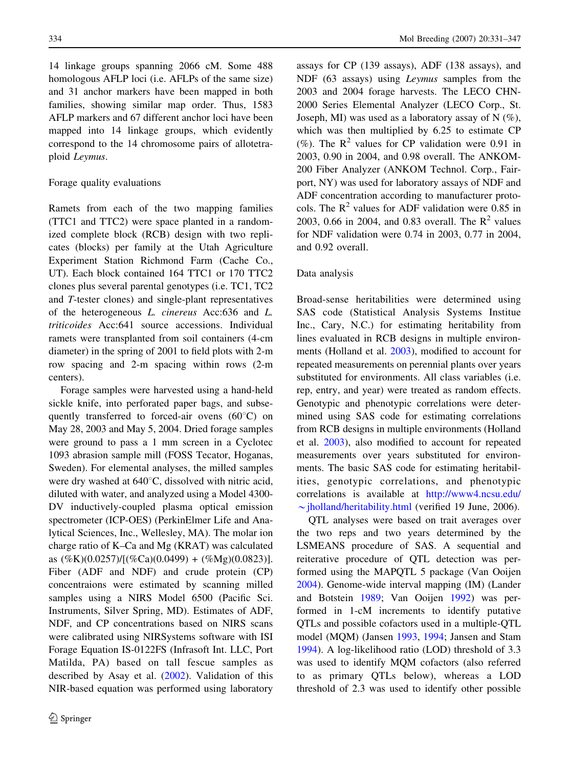14 linkage groups spanning 2066 cM. Some 488 homologous AFLP loci (i.e. AFLPs of the same size) and 31 anchor markers have been mapped in both families, showing similar map order. Thus, 1583 AFLP markers and 67 different anchor loci have been mapped into 14 linkage groups, which evidently correspond to the 14 chromosome pairs of allotetraploid Leymus.

#### Forage quality evaluations

Ramets from each of the two mapping families (TTC1 and TTC2) were space planted in a randomized complete block (RCB) design with two replicates (blocks) per family at the Utah Agriculture Experiment Station Richmond Farm (Cache Co., UT). Each block contained 164 TTC1 or 170 TTC2 clones plus several parental genotypes (i.e. TC1, TC2 and T-tester clones) and single-plant representatives of the heterogeneous L. cinereus Acc:636 and L. triticoides Acc:641 source accessions. Individual ramets were transplanted from soil containers (4-cm diameter) in the spring of 2001 to field plots with 2-m row spacing and 2-m spacing within rows (2-m centers).

Forage samples were harvested using a hand-held sickle knife, into perforated paper bags, and subsequently transferred to forced-air ovens  $(60^{\circ}C)$  on May 28, 2003 and May 5, 2004. Dried forage samples were ground to pass a 1 mm screen in a Cyclotec 1093 abrasion sample mill (FOSS Tecator, Hoganas, Sweden). For elemental analyses, the milled samples were dry washed at  $640^{\circ}$ C, dissolved with nitric acid, diluted with water, and analyzed using a Model 4300- DV inductively-coupled plasma optical emission spectrometer (ICP-OES) (PerkinElmer Life and Analytical Sciences, Inc., Wellesley, MA). The molar ion charge ratio of K–Ca and Mg (KRAT) was calculated as  $(\%K)(0.0257)/[(\%Ca)(0.0499) + (\%Mg)(0.0823)].$ Fiber (ADF and NDF) and crude protein (CP) concentraions were estimated by scanning milled samples using a NIRS Model 6500 (Pacific Sci. Instruments, Silver Spring, MD). Estimates of ADF, NDF, and CP concentrations based on NIRS scans were calibrated using NIRSystems software with ISI Forage Equation IS-0122FS (Infrasoft Int. LLC, Port Matilda, PA) based on tall fescue samples as described by Asay et al. [\(2002](#page-14-0)). Validation of this NIR-based equation was performed using laboratory assays for CP (139 assays), ADF (138 assays), and NDF (63 assays) using Leymus samples from the 2003 and 2004 forage harvests. The LECO CHN-2000 Series Elemental Analyzer (LECO Corp., St. Joseph, MI) was used as a laboratory assay of N  $(\%)$ , which was then multiplied by 6.25 to estimate CP (%). The  $R^2$  values for CP validation were 0.91 in 2003, 0.90 in 2004, and 0.98 overall. The ANKOM-200 Fiber Analyzer (ANKOM Technol. Corp., Fairport, NY) was used for laboratory assays of NDF and ADF concentration according to manufacturer protocols. The  $R^2$  values for ADF validation were 0.85 in 2003, 0.66 in 2004, and 0.83 overall. The  $R^2$  values for NDF validation were 0.74 in 2003, 0.77 in 2004, and 0.92 overall.

# Data analysis

Broad-sense heritabilities were determined using SAS code (Statistical Analysis Systems Institue Inc., Cary, N.C.) for estimating heritability from lines evaluated in RCB designs in multiple environments (Holland et al. [2003\)](#page-14-0), modified to account for repeated measurements on perennial plants over years substituted for environments. All class variables (i.e. rep, entry, and year) were treated as random effects. Genotypic and phenotypic correlations were determined using SAS code for estimating correlations from RCB designs in multiple environments (Holland et al. [2003\)](#page-14-0), also modified to account for repeated measurements over years substituted for environments. The basic SAS code for estimating heritabilities, genotypic correlations, and phenotypic correlations is available at [http://www4.ncsu.edu/](http://www4.ncsu.edu/∼jholland/heritability.html)  $\sim$ [jholland/heritability.html](http://www4.ncsu.edu/∼jholland/heritability.html) (verified 19 June, 2006).

QTL analyses were based on trait averages over the two reps and two years determined by the LSMEANS procedure of SAS. A sequential and reiterative procedure of QTL detection was performed using the MAPQTL 5 package (Van Ooijen [2004\)](#page-15-0). Genome-wide interval mapping (IM) (Lander and Botstein [1989;](#page-15-0) Van Ooijen [1992](#page-15-0)) was performed in 1-cM increments to identify putative QTLs and possible cofactors used in a multiple-QTL model (MQM) (Jansen [1993,](#page-14-0) [1994](#page-14-0); Jansen and Stam [1994\)](#page-15-0). A log-likelihood ratio (LOD) threshold of 3.3 was used to identify MQM cofactors (also referred to as primary QTLs below), whereas a LOD threshold of 2.3 was used to identify other possible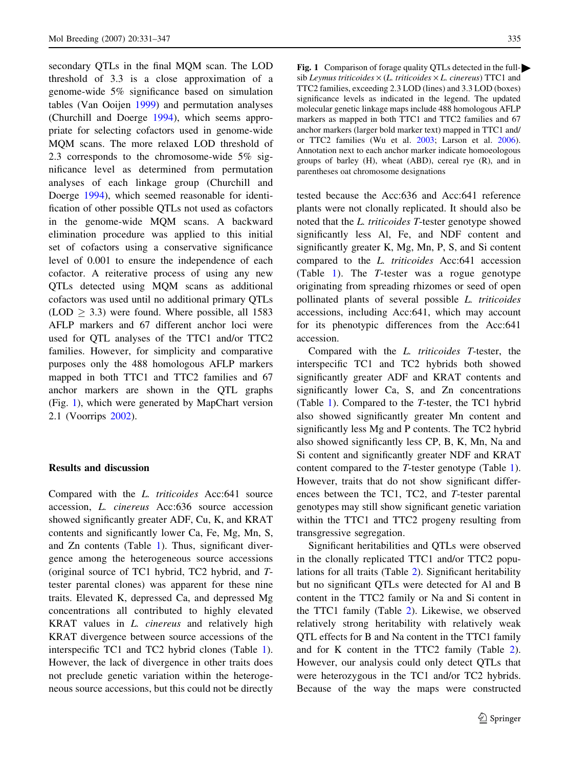<span id="page-4-0"></span>secondary QTLs in the final MQM scan. The LOD threshold of 3.3 is a close approximation of a genome-wide 5% significance based on simulation tables (Van Ooijen [1999\)](#page-15-0) and permutation analyses (Churchill and Doerge [1994\)](#page-14-0), which seems appropriate for selecting cofactors used in genome-wide MQM scans. The more relaxed LOD threshold of 2.3 corresponds to the chromosome-wide 5% significance level as determined from permutation analyses of each linkage group (Churchill and Doerge [1994](#page-14-0)), which seemed reasonable for identification of other possible QTLs not used as cofactors in the genome-wide MQM scans. A backward elimination procedure was applied to this initial set of cofactors using a conservative significance level of 0.001 to ensure the independence of each cofactor. A reiterative process of using any new QTLs detected using MQM scans as additional cofactors was used until no additional primary QTLs  $(LOD \geq 3.3)$  were found. Where possible, all 1583 AFLP markers and 67 different anchor loci were used for QTL analyses of the TTC1 and/or TTC2 families. However, for simplicity and comparative purposes only the 488 homologous AFLP markers mapped in both TTC1 and TTC2 families and 67 anchor markers are shown in the QTL graphs (Fig. 1), which were generated by MapChart version 2.1 (Voorrips [2002\)](#page-15-0).

#### Results and discussion

Compared with the L. triticoides Acc:641 source accession, L. cinereus Acc:636 source accession showed significantly greater ADF, Cu, K, and KRAT contents and significantly lower Ca, Fe, Mg, Mn, S, and Zn contents (Table [1\)](#page-9-0). Thus, significant divergence among the heterogeneous source accessions (original source of TC1 hybrid, TC2 hybrid, and Ttester parental clones) was apparent for these nine traits. Elevated K, depressed Ca, and depressed Mg concentrations all contributed to highly elevated KRAT values in L. cinereus and relatively high KRAT divergence between source accessions of the interspecific TC1 and TC2 hybrid clones (Table [1](#page-9-0)). However, the lack of divergence in other traits does not preclude genetic variation within the heterogeneous source accessions, but this could not be directly

Fig. 1 Comparison of forage quality QTLs detected in the fullsib Leymus triticoides  $\times$  (L. triticoides  $\times$  L. cinereus) TTC1 and TTC2 families, exceeding 2.3 LOD (lines) and 3.3 LOD (boxes) significance levels as indicated in the legend. The updated molecular genetic linkage maps include 488 homologous AFLP markers as mapped in both TTC1 and TTC2 families and 67 anchor markers (larger bold marker text) mapped in TTC1 and/ or TTC2 families (Wu et al. [2003](#page-15-0); Larson et al. [2006](#page-15-0)). Annotation next to each anchor marker indicate homoeologous groups of barley (H), wheat (ABD), cereal rye (R), and in parentheses oat chromosome designations

tested because the Acc:636 and Acc:641 reference plants were not clonally replicated. It should also be noted that the L. triticoides T-tester genotype showed significantly less Al, Fe, and NDF content and significantly greater K, Mg, Mn, P, S, and Si content compared to the L. triticoides Acc:641 accession (Table [1\)](#page-9-0). The T-tester was a rogue genotype originating from spreading rhizomes or seed of open pollinated plants of several possible L. triticoides accessions, including Acc:641, which may account for its phenotypic differences from the Acc:641 accession.

Compared with the L. triticoides T-tester, the interspecific TC1 and TC2 hybrids both showed significantly greater ADF and KRAT contents and significantly lower Ca, S, and Zn concentrations (Table [1\)](#page-9-0). Compared to the T-tester, the TC1 hybrid also showed significantly greater Mn content and significantly less Mg and P contents. The TC2 hybrid also showed significantly less CP, B, K, Mn, Na and Si content and significantly greater NDF and KRAT content compared to the T-tester genotype (Table [1](#page-9-0)). However, traits that do not show significant differences between the TC1, TC2, and T-tester parental genotypes may still show significant genetic variation within the TTC1 and TTC2 progeny resulting from transgressive segregation.

Significant heritabilities and QTLs were observed in the clonally replicated TTC1 and/or TTC2 populations for all traits (Table [2\)](#page-10-0). Significant heritability but no significant QTLs were detected for Al and B content in the TTC2 family or Na and Si content in the TTC1 family (Table [2](#page-10-0)). Likewise, we observed relatively strong heritability with relatively weak QTL effects for B and Na content in the TTC1 family and for K content in the TTC2 family (Table [2](#page-10-0)). However, our analysis could only detect QTLs that were heterozygous in the TC1 and/or TC2 hybrids. Because of the way the maps were constructed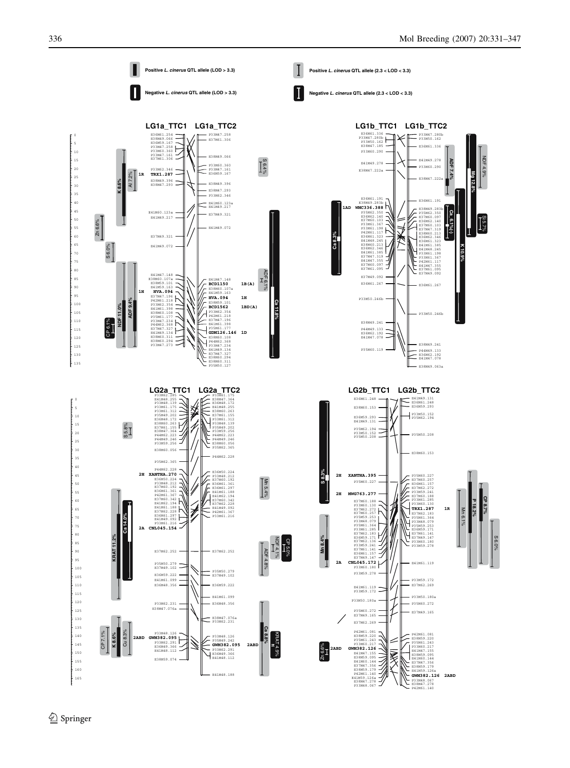E38M47.278 P42M61.140

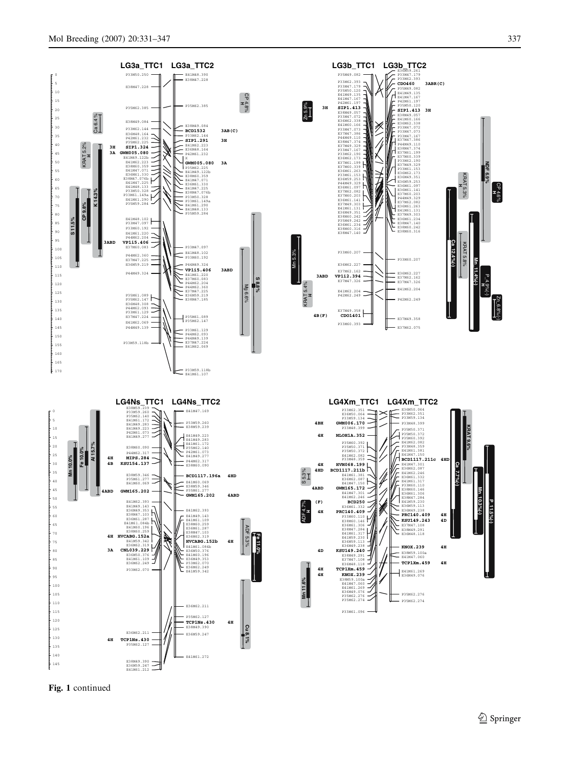

Fig. 1 continued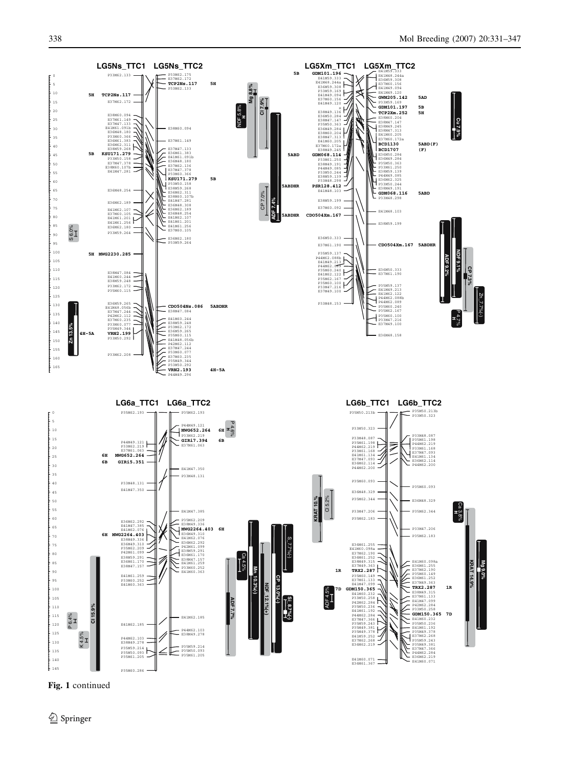

Fig. 1 continued

 $\circled{2}$  Springer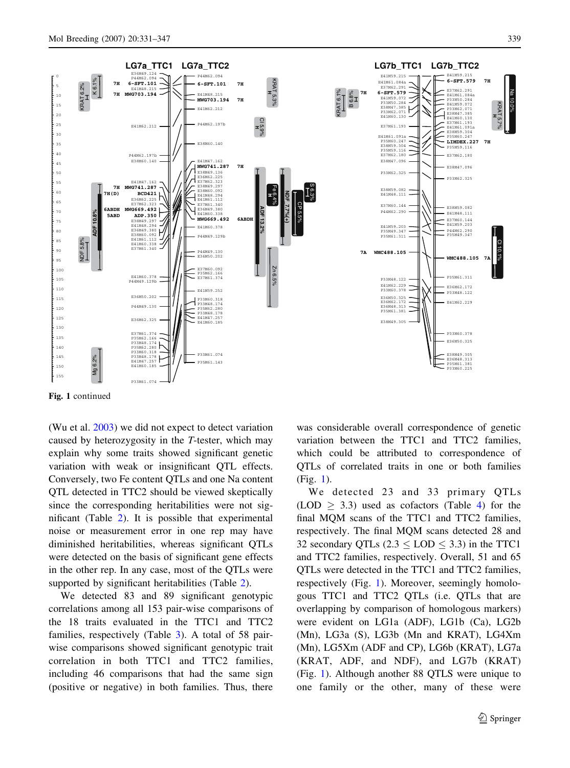



Fig. 1 continued

(Wu et al. [2003](#page-15-0)) we did not expect to detect variation caused by heterozygosity in the T-tester, which may explain why some traits showed significant genetic variation with weak or insignificant QTL effects. Conversely, two Fe content QTLs and one Na content QTL detected in TTC2 should be viewed skeptically since the corresponding heritabilities were not significant (Table [2](#page-10-0)). It is possible that experimental noise or measurement error in one rep may have diminished heritabilities, whereas significant QTLs were detected on the basis of significant gene effects in the other rep. In any case, most of the QTLs were supported by significant heritabilities (Table [2\)](#page-10-0).

We detected 83 and 89 significant genotypic correlations among all 153 pair-wise comparisons of the 18 traits evaluated in the TTC1 and TTC2 families, respectively (Table [3\)](#page-11-0). A total of 58 pairwise comparisons showed significant genotypic trait correlation in both TTC1 and TTC2 families, including 46 comparisons that had the same sign (positive or negative) in both families. Thus, there was considerable overall correspondence of genetic variation between the TTC1 and TTC2 families, which could be attributed to correspondence of QTLs of correlated traits in one or both families (Fig. [1](#page-4-0)).

We detected 23 and 33 primary QTLs  $(LOD \geq 3.3)$  used as cofactors (Table [4\)](#page-12-0) for the final MQM scans of the TTC1 and TTC2 families, respectively. The final MQM scans detected 28 and 32 secondary QTLs  $(2.3 <$  LOD  $<$  3.3) in the TTC1 and TTC2 families, respectively. Overall, 51 and 65 QTLs were detected in the TTC1 and TTC2 families, respectively (Fig. [1](#page-4-0)). Moreover, seemingly homologous TTC1 and TTC2 QTLs (i.e. QTLs that are overlapping by comparison of homologous markers) were evident on LG1a (ADF), LG1b (Ca), LG2b (Mn), LG3a (S), LG3b (Mn and KRAT), LG4Xm (Mn), LG5Xm (ADF and CP), LG6b (KRAT), LG7a (KRAT, ADF, and NDF), and LG7b (KRAT) (Fig. [1\)](#page-4-0). Although another 88 QTLS were unique to one family or the other, many of these were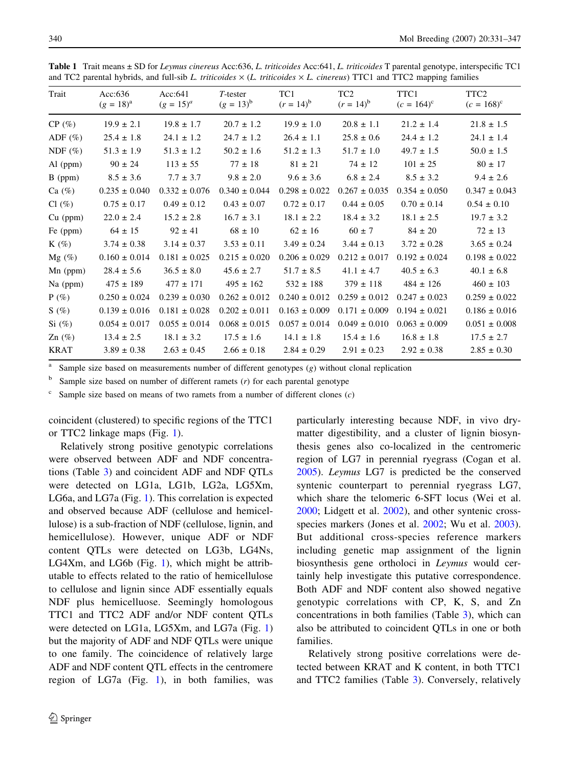| Trait       | Acc: $636$<br>$(g = 18)^{a}$ | Acc: 641<br>$(g = 15)^a$ | $T$ -tester<br>$(g = 13)^b$ | TC1<br>$(r = 14)^b$ | TC <sub>2</sub><br>$(r = 14)^b$ | TTC1<br>$(c = 164)^c$ | TTC2<br>$(c = 168)^c$ |
|-------------|------------------------------|--------------------------|-----------------------------|---------------------|---------------------------------|-----------------------|-----------------------|
| $CP(\%)$    | $19.9 \pm 2.1$               | $19.8 \pm 1.7$           | $20.7 \pm 1.2$              | $19.9 \pm 1.0$      | $20.8 \pm 1.1$                  | $21.2 \pm 1.4$        | $21.8 \pm 1.5$        |
| ADF $(\%)$  | $25.4 \pm 1.8$               | $24.1 \pm 1.2$           | $24.7 \pm 1.2$              | $26.4 \pm 1.1$      | $25.8 \pm 0.6$                  | $24.4 \pm 1.2$        | $24.1 \pm 1.4$        |
| NDF $(\%)$  | $51.3 \pm 1.9$               | $51.3 \pm 1.2$           | $50.2 \pm 1.6$              | $51.2 \pm 1.3$      | $51.7 \pm 1.0$                  | $49.7 \pm 1.5$        | $50.0 \pm 1.5$        |
| $Al$ (ppm)  | $90 \pm 24$                  | $113 \pm 55$             | $77 \pm 18$                 | $81 \pm 21$         | $74 \pm 12$                     | $101 \pm 25$          | $80 \pm 17$           |
| $B$ (ppm)   | $8.5 \pm 3.6$                | $7.7 \pm 3.7$            | $9.8 \pm 2.0$               | $9.6 \pm 3.6$       | $6.8 \pm 2.4$                   | $8.5 \pm 3.2$         | $9.4 \pm 2.6$         |
| Ca $(\%)$   | $0.235 \pm 0.040$            | $0.332 \pm 0.076$        | $0.340 \pm 0.044$           | $0.298 \pm 0.022$   | $0.267 \pm 0.035$               | $0.354 \pm 0.050$     | $0.347 \pm 0.043$     |
| $Cl(\%)$    | $0.75 \pm 0.17$              | $0.49 \pm 0.12$          | $0.43 \pm 0.07$             | $0.72 \pm 0.17$     | $0.44 \pm 0.05$                 | $0.70 \pm 0.14$       | $0.54 \pm 0.10$       |
| $Cu$ (ppm)  | $22.0 \pm 2.4$               | $15.2 \pm 2.8$           | $16.7 \pm 3.1$              | $18.1 \pm 2.2$      | $18.4 \pm 3.2$                  | $18.1 \pm 2.5$        | $19.7 \pm 3.2$        |
| Fe (ppm)    | $64 \pm 15$                  | $92 \pm 41$              | $68 \pm 10$                 | $62 \pm 16$         | $60 \pm 7$                      | $84 \pm 20$           | $72 \pm 13$           |
| $K(\%)$     | $3.74 \pm 0.38$              | $3.14 \pm 0.37$          | $3.53 \pm 0.11$             | $3.49 \pm 0.24$     | $3.44 \pm 0.13$                 | $3.72 \pm 0.28$       | $3.65 \pm 0.24$       |
| $Mg(\%)$    | $0.160 \pm 0.014$            | $0.181 \pm 0.025$        | $0.215 \pm 0.020$           | $0.206 \pm 0.029$   | $0.212 \pm 0.017$               | $0.192 \pm 0.024$     | $0.198 \pm 0.022$     |
| $Mn$ (ppm)  | $28.4 \pm 5.6$               | $36.5 \pm 8.0$           | $45.6 \pm 2.7$              | $51.7 \pm 8.5$      | $41.1 \pm 4.7$                  | $40.5 \pm 6.3$        | $40.1 \pm 6.8$        |
| $Na$ (ppm)  | $475 \pm 189$                | $477 \pm 171$            | $495 \pm 162$               | $532 \pm 188$       | $379 \pm 118$                   | $484 \pm 126$         | $460 \pm 103$         |
| $P(\%)$     | $0.250 \pm 0.024$            | $0.239 \pm 0.030$        | $0.262 \pm 0.012$           | $0.240 \pm 0.012$   | $0.259 \pm 0.012$               | $0.247 \pm 0.023$     | $0.259 \pm 0.022$     |
| S(%)        | $0.139 \pm 0.016$            | $0.181 \pm 0.028$        | $0.202 \pm 0.011$           | $0.163 \pm 0.009$   | $0.171 \pm 0.009$               | $0.194 \pm 0.021$     | $0.186 \pm 0.016$     |
| $Si$ (%)    | $0.054 \pm 0.017$            | $0.055 \pm 0.014$        | $0.068 \pm 0.015$           | $0.057 \pm 0.014$   | $0.049 \pm 0.010$               | $0.063 \pm 0.009$     | $0.051 \pm 0.008$     |
| Zn $(\%)$   | $13.4 \pm 2.5$               | $18.1 \pm 3.2$           | $17.5 \pm 1.6$              | $14.1 \pm 1.8$      | $15.4 \pm 1.6$                  | $16.8 \pm 1.8$        | $17.5 \pm 2.7$        |
| <b>KRAT</b> | $3.89 \pm 0.38$              | $2.63 \pm 0.45$          | $2.66 \pm 0.18$             | $2.84 \pm 0.29$     | $2.91 \pm 0.23$                 | $2.92 \pm 0.38$       | $2.85 \pm 0.30$       |

<span id="page-9-0"></span>Table 1 Trait means  $\pm$  SD for Leymus cinereus Acc:636, L. triticoides Acc:641, L. triticoides T parental genotype, interspecific TC1 and TC2 parental hybrids, and full-sib L. triticoides  $\times$  (L. triticoides  $\times$  L. cinereus) TTC1 and TTC2 mapping families

Sample size based on measurements number of different genotypes  $(g)$  without clonal replication

 $b$  Sample size based on number of different ramets (*r*) for each parental genotype

Sample size based on means of two ramets from a number of different clones  $(c)$ 

coincident (clustered) to specific regions of the TTC1 or TTC2 linkage maps (Fig. [1](#page-4-0)).

Relatively strong positive genotypic correlations were observed between ADF and NDF concentrations (Table [3](#page-11-0)) and coincident ADF and NDF QTLs were detected on LG1a, LG1b, LG2a, LG5Xm, LG6a, and LG7a (Fig. [1](#page-4-0)). This correlation is expected and observed because ADF (cellulose and hemicellulose) is a sub-fraction of NDF (cellulose, lignin, and hemicellulose). However, unique ADF or NDF content QTLs were detected on LG3b, LG4Ns, LG4Xm, and LG6b (Fig. [1](#page-4-0)), which might be attributable to effects related to the ratio of hemicellulose to cellulose and lignin since ADF essentially equals NDF plus hemicelluose. Seemingly homologous TTC1 and TTC2 ADF and/or NDF content QTLs were detected on LG1a, LG5Xm, and LG7a (Fig. [1\)](#page-4-0) but the majority of ADF and NDF QTLs were unique to one family. The coincidence of relatively large ADF and NDF content QTL effects in the centromere region of LG7a (Fig. [1](#page-4-0)), in both families, was particularly interesting because NDF, in vivo drymatter digestibility, and a cluster of lignin biosynthesis genes also co-localized in the centromeric region of LG7 in perennial ryegrass (Cogan et al. [2005\)](#page-14-0). Leymus LG7 is predicted be the conserved syntenic counterpart to perennial ryegrass LG7, which share the telomeric 6-SFT locus (Wei et al. [2000;](#page-15-0) Lidgett et al. [2002\)](#page-15-0), and other syntenic cross-species markers (Jones et al. [2002](#page-15-0); Wu et al. [2003](#page-15-0)). But additional cross-species reference markers including genetic map assignment of the lignin biosynthesis gene ortholoci in Leymus would certainly help investigate this putative correspondence. Both ADF and NDF content also showed negative genotypic correlations with CP, K, S, and Zn concentrations in both families (Table [3](#page-11-0)), which can also be attributed to coincident QTLs in one or both families.

Relatively strong positive correlations were detected between KRAT and K content, in both TTC1 and TTC2 families (Table [3](#page-11-0)). Conversely, relatively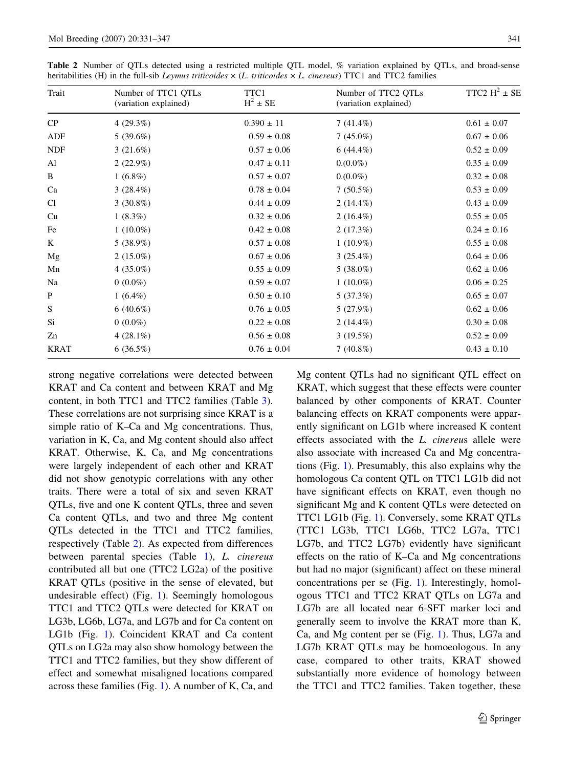<span id="page-10-0"></span>

| Trait       | Number of TTC1 QTLs<br>(variation explained) | TTC1<br>$H^2 \pm SE$ | Number of TTC2 QTLs<br>(variation explained) | TTC2 $H^2 \pm SE$ |
|-------------|----------------------------------------------|----------------------|----------------------------------------------|-------------------|
| CP          | $4(29.3\%)$                                  | $0.390 \pm 11$       | $7(41.4\%)$                                  | $0.61 \pm 0.07$   |
| ADF         | $5(39.6\%)$                                  | $0.59 \pm 0.08$      | $7(45.0\%)$                                  | $0.67 \pm 0.06$   |
| <b>NDF</b>  | 3(21.6%)                                     | $0.57 \pm 0.06$      | $6(44.4\%)$                                  | $0.52 \pm 0.09$   |
| Al          | $2(22.9\%)$                                  | $0.47 \pm 0.11$      | $0.00\%)$                                    | $0.35 \pm 0.09$   |
| B           | $1(6.8\%)$                                   | $0.57 \pm 0.07$      | $0.00\%)$                                    | $0.32 \pm 0.08$   |
| Ca          | 3 $(28.4\%)$                                 | $0.78 \pm 0.04$      | $7(50.5\%)$                                  | $0.53 \pm 0.09$   |
| Cl          | $3(30.8\%)$                                  | $0.44 \pm 0.09$      | 2 $(14.4\%)$                                 | $0.43 \pm 0.09$   |
| Cu          | $1(8.3\%)$                                   | $0.32 \pm 0.06$      | 2 $(16.4\%)$                                 | $0.55 \pm 0.05$   |
| Fe          | $1(10.0\%)$                                  | $0.42 \pm 0.08$      | 2(17.3%)                                     | $0.24 \pm 0.16$   |
| K           | $5(38.9\%)$                                  | $0.57 \pm 0.08$      | $1(10.9\%)$                                  | $0.55 \pm 0.08$   |
| Mg          | $2(15.0\%)$                                  | $0.67 \pm 0.06$      | $3(25.4\%)$                                  | $0.64 \pm 0.06$   |
| Mn          | $4(35.0\%)$                                  | $0.55 \pm 0.09$      | $5(38.0\%)$                                  | $0.62 \pm 0.06$   |
| Na          | $0(0.0\%)$                                   | $0.59 \pm 0.07$      | $1(10.0\%)$                                  | $0.06 \pm 0.25$   |
| P           | $1(6.4\%)$                                   | $0.50 \pm 0.10$      | 5(37.3%)                                     | $0.65 \pm 0.07$   |
| S           | $6(40.6\%)$                                  | $0.76 \pm 0.05$      | $5(27.9\%)$                                  | $0.62 \pm 0.06$   |
| Si          | $0(0.0\%)$                                   | $0.22 \pm 0.08$      | 2 $(14.4\%)$                                 | $0.30 \pm 0.08$   |
| Zn          | $4(28.1\%)$                                  | $0.56 \pm 0.08$      | $3(19.5\%)$                                  | $0.52 \pm 0.09$   |
| <b>KRAT</b> | $6(36.5\%)$                                  | $0.76 \pm 0.04$      | $7(40.8\%)$                                  | $0.43 \pm 0.10$   |

strong negative correlations were detected between KRAT and Ca content and between KRAT and Mg content, in both TTC1 and TTC2 families (Table [3](#page-11-0)). These correlations are not surprising since KRAT is a simple ratio of K–Ca and Mg concentrations. Thus, variation in K, Ca, and Mg content should also affect KRAT. Otherwise, K, Ca, and Mg concentrations were largely independent of each other and KRAT did not show genotypic correlations with any other traits. There were a total of six and seven KRAT QTLs, five and one K content QTLs, three and seven Ca content QTLs, and two and three Mg content QTLs detected in the TTC1 and TTC2 families, respectively (Table 2). As expected from differences between parental species (Table [1\)](#page-9-0), L. cinereus contributed all but one (TTC2 LG2a) of the positive KRAT QTLs (positive in the sense of elevated, but undesirable effect) (Fig. [1\)](#page-4-0). Seemingly homologous TTC1 and TTC2 QTLs were detected for KRAT on LG3b, LG6b, LG7a, and LG7b and for Ca content on LG1b (Fig. [1](#page-4-0)). Coincident KRAT and Ca content QTLs on LG2a may also show homology between the TTC1 and TTC2 families, but they show different of effect and somewhat misaligned locations compared across these families (Fig. [1](#page-4-0)). A number of K, Ca, and

Mg content QTLs had no significant QTL effect on KRAT, which suggest that these effects were counter balanced by other components of KRAT. Counter balancing effects on KRAT components were apparently significant on LG1b where increased K content effects associated with the L. cinereus allele were also associate with increased Ca and Mg concentrations (Fig. [1](#page-4-0)). Presumably, this also explains why the homologous Ca content QTL on TTC1 LG1b did not have significant effects on KRAT, even though no significant Mg and K content QTLs were detected on TTC1 LG1b (Fig. [1](#page-4-0)). Conversely, some KRAT QTLs (TTC1 LG3b, TTC1 LG6b, TTC2 LG7a, TTC1 LG7b, and TTC2 LG7b) evidently have significant effects on the ratio of K–Ca and Mg concentrations but had no major (significant) affect on these mineral concentrations per se (Fig. [1\)](#page-4-0). Interestingly, homologous TTC1 and TTC2 KRAT QTLs on LG7a and LG7b are all located near 6-SFT marker loci and generally seem to involve the KRAT more than K, Ca, and Mg content per se (Fig. [1\)](#page-4-0). Thus, LG7a and LG7b KRAT QTLs may be homoeologous. In any case, compared to other traits, KRAT showed substantially more evidence of homology between the TTC1 and TTC2 families. Taken together, these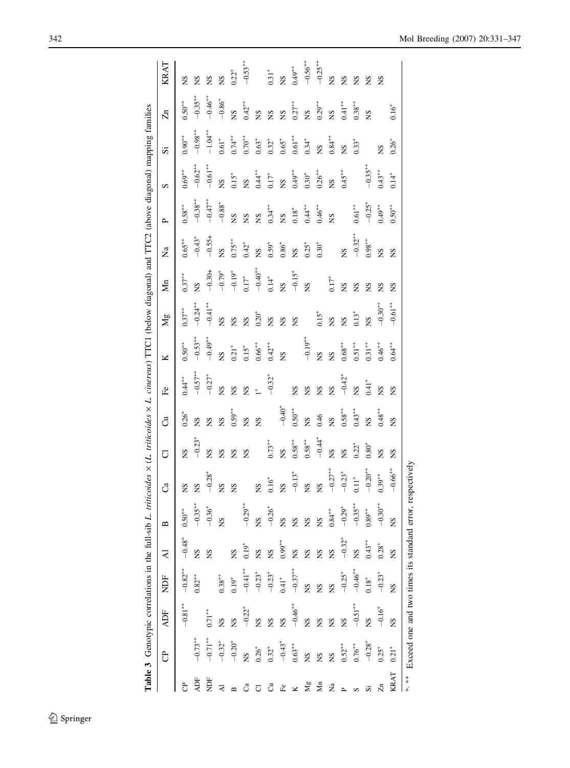<span id="page-11-0"></span>

|             |                                       |                       |                       |                         | Table 3 Genotypic correlations in the full-sib L. triticoides x (L. triticoides x L. cinereus) TTC1 (below diagonal) and TTC2 (above diagonal) mapping families |                       |                      |                      |                       |                       |                       |              |                |                       |                       |                       |                      |                       |
|-------------|---------------------------------------|-----------------------|-----------------------|-------------------------|-----------------------------------------------------------------------------------------------------------------------------------------------------------------|-----------------------|----------------------|----------------------|-----------------------|-----------------------|-----------------------|--------------|----------------|-----------------------|-----------------------|-----------------------|----------------------|-----------------------|
|             | පි                                    | <b>ADF</b>            | <b>NDF</b>            | $\overline{\mathbf{A}}$ | $\mathbf{a}$                                                                                                                                                    | ්                     | J                    | ්                    | F <sub>e</sub>        | ×                     | Mg                    | Žп           | $\overline{a}$ | $\sim$                | S                     | S,                    | $\overline{\Omega}$  | KRAT                  |
|             |                                       | $-0.81$ <sup>++</sup> | $-0.82 +$             | $-0.48^{+}$             | $0.50^{++}$                                                                                                                                                     | <b>SN</b>             | SN                   | $0.26^{+}$           | $0.44^{++}$           | $0.50^{++}$           | $0.37^{++}$           | $0.37^{++}$  | $0.65^{++}$    | $0.58^{++}$           | $0.69^{++}$           | $0.90^{++}$           | $0.50^{++}$          | ΧN                    |
| ADF         | $-0.73$ <sup>++</sup>                 |                       | $0.82^{++}$           | SN                      | $-0.35^{++}$                                                                                                                                                    | <b>SN</b>             | $-0.23$ <sup>+</sup> | SN                   | $-0.57$ <sup>++</sup> | $-0.53$ <sup>++</sup> | $-0.24$ <sup>++</sup> | <b>SN</b>    | $-0.43^{+}$    | $-0.38^{++}$          | $-0.62$ <sup>++</sup> | $-9.98^{+1}$          | $-0.35^{++}$         | ΣN                    |
| È           | $-0.71$ <sup>++</sup>                 | $0.71$ <sup>++</sup>  |                       | SN                      | $-0.36^{+}$                                                                                                                                                     | $-0.28^{+}$           | SN                   | SN                   | $-0.27$ <sup>+</sup>  | $-9.49^{+}$           | $-0.41$ <sup>++</sup> | $-0.30 +$    | $-0.55+$       | $-0.47$ <sup>++</sup> | $-0.61$ <sup>++</sup> | $-1.04$ <sup>++</sup> | $-0.46^{++}$         | <b>NS</b>             |
|             | $-0.32^{+}$                           | $_{\rm NS}$           | $0.38^{++}$           |                         | SN                                                                                                                                                              | <b>SN</b>             | SN                   | SN                   | SN                    | SN                    | SN                    | $-0.79^{+}$  | SN             | $-0.88^{+}$           | g                     | $0.61^{+}$            | $-0.86^{+}$          | <b>SN</b>             |
|             | $-0.20^{+}$                           | $\frac{8}{2}$         | $0.19^{+}$            | $\overline{S}$          |                                                                                                                                                                 | ΧN                    | SN                   | $0.59^{++}$          | ΣN                    | $0.21$ <sup>+</sup>   | SN                    | $-0.19^{+}$  | $0.75^{++}$    | SN                    | $0.15^{+}$            | $0.74$ <sup>++</sup>  | <b>S</b>             | $0.22^{+}$            |
|             | SN.                                   | $-0.22^{+}$           | $-0.41$ <sup>++</sup> | $0.19$ <sup>+</sup>     | $-0.29^{++}$                                                                                                                                                    |                       | SN                   | SN                   | SN                    | $0.15$ <sup>+</sup>   | SN                    | $0.17^{+}$   | $0.42^{+}$     | SN                    | g                     | $0.70^{++}$           | $0.42^{++}$          | $-0.53^{+1}$          |
|             | $0.26^{+}$                            | $_{\rm NS}$           | $-0.23^{+}$           | $\frac{8}{2}$           | SN                                                                                                                                                              | SN                    |                      | <b>SN</b>            | $\ddagger$            | $0.66^{++}$           | $0.20^{+}$            | $-0.40^{+1}$ | <b>S</b>       | <b>S</b>              | $0.44$ <sup>++</sup>  | $0.63^{+}$            | SN                   |                       |
| ්           | $0.32^{+}$                            | $\frac{S}{S}$         | $-0.23$ <sup>+</sup>  | $\frac{8}{2}$           | $-0.26^{+}$                                                                                                                                                     | $0.16^{+}$            | $0.73^{++}$          |                      | $-0.32^{+}$           | $0.42^{++}$           | SN                    | $0.14^{+}$   | $0.59^{+}$     | $0.34^{++}$           | $0.17$ <sup>+</sup>   | $0.32^{+}$            | SN                   | $0.31^{+}$            |
| £           | $-0.43$ <sup>+</sup>                  | $\frac{S}{S}$         | $0.41$ <sup>+</sup>   | $0.99^{++}$             | SN                                                                                                                                                              | <b>SN</b>             | <b>SN</b>            | $-0.40^{+}$          |                       | SN                    | SN                    | SN           | $0.86^+$       | <b>SN</b>             | $\frac{8}{2}$         | $0.65+$               | <b>S</b>             | SN                    |
|             | $0.63***$                             | $-0.46$ <sup>++</sup> | $-0.37$ <sup>++</sup> | $\mathbf{S}$            | SN                                                                                                                                                              | $-0.13$ <sup>+</sup>  | $0.58^{++}$          | $0.50^{++}$          | ΧN                    |                       | <b>SN</b>             | $-0.15^{+}$  | SN             | $0.18^{+}$            | $0.49^{++}$           | $0.61 +$              | $0.27^{++}$          | $0.49^{++}$           |
| Νg          | $\mathbf{S}$                          | $_{\rm NS}$           | $_{\rm NS}$           | $\overline{S}$          | <b>SN</b>                                                                                                                                                       | 8N                    | $0.58^{++}$          | SN                   | <b>SN</b>             | $-0.19^{+1}$          |                       | SN           | $0.25^{+}$     | $0.44^{++}$           | $0.30^{\rm +}$        | $0.34^{+}$            | <b>S</b>             | $-0.56^{++}$          |
| Яm          | $\overline{S}$                        | $_{\rm NS}$           | $\sum_{i=1}^{n}$      | <b>S</b>                | SN                                                                                                                                                              | XN                    | $-0.44$ <sup>+</sup> | 0.46                 | ΣŐ                    | SN                    | $0.15^{+}$            |              | $0.30^{+}$     | $0.46^{++}$           | $0.26^{++}$           | g                     | $0.29^{+4}$          | $-0.25$ <sup>++</sup> |
| $\tilde{z}$ | g                                     | $_{\rm NS}$           | $_{\rm NS}$           | SN                      | $0.84 +$                                                                                                                                                        | $-0.27$ <sup>++</sup> | SN                   | SN                   | SN                    | SN                    | SN                    | $0.17^{+}$   |                | SN                    | g                     | $0.84 +$              | <b>S</b>             | SN                    |
|             | $0.52^{++}$                           | $\frac{S}{N}$         | $-0.25^{+}$           | $-0.32^{+}$             | $-0.29^{+}$                                                                                                                                                     | $-0.23^{+}$           | SN                   | $0.58^{++}$          | $-0.42$ <sup>+</sup>  | $0.68^{++}$           | SN                    | SN           | SN             |                       | $0.45^{++}$           | SN                    | $0.41$ <sup>++</sup> | <b>NS</b>             |
|             | $0.76***$                             | $-0.51$ <sup>++</sup> | $-0.46$ <sup>++</sup> | g                       | $-0.35^{++}$                                                                                                                                                    | $0.11^{+}$            | $0.22^{+}$           | $0.43$ <sup>++</sup> | 8N                    | $0.51^{++}$           | $0.13^{+}$            | SN           | $-0.32^{++}$   | $0.61$ $^{+\!+}$      |                       | $0.33^{+}$            | $0.38^{++}$          | <b>NS</b>             |
|             | $-0.28^{+}$                           | $_{\rm NS}$           | $0.18^+$              | $0.43^{++}$             | $0.89^{++}$                                                                                                                                                     | $-0.20^{+1}$          | $0.80^{+}$           | SN                   | $0.41$ <sup>+</sup>   | $0.31$ <sup>+++</sup> | <b>NS</b>             | <b>NS</b>    | $0.98^{++}$    | $-0.25^{+}$           | $-0.35^{++}$          |                       | <b>SN</b>            | <b>NS</b>             |
|             | $0.25^{+}$                            | $-0.16^{+}$           | $-0.23^{+}$           | $0.28^{+}$              | $-0.30^{++}$                                                                                                                                                    | $0.39^{++}$           | SN                   | $0.48^{+1}$          | SN                    | $0.46^{++}$           | $-0.30^{+1}$          | ΣN           | SN             | $0.49^{++}$           | $0.43^{++}$           | SN                    |                      | <b>NS</b>             |
| KRAT        | $0.21^{+}$                            | $_{\rm NS}$           | $\overline{a}$        | SN                      | ŠN                                                                                                                                                              | $-0.66^{+1}$          | SN                   | ŠN                   | ΧN                    | $0.64^{+}$            | $-0.61$ <sup>++</sup> | ΧN           | ΧN             | $0.50^{++}$           | $0.14^{+}$            | $0.26^{+}$            | $0.16^{+}$           |                       |
| $+$<br>$+$  | Exceed one and two times its standard |                       |                       |                         |                                                                                                                                                                 | error, respectively   |                      |                      |                       |                       |                       |              |                |                       |                       |                       |                      |                       |

**Table 3** Genotypic correlations in the full-sib L. triticoides  $\times$  L. cinereus) TTC1 (below diagonal) and TTC2 (above diagonal) mapping families f. l.  $\frac{1}{2}$  $\ddot{\ddot{\tau}}$ A TTC Ob  $\frac{1}{2}$ र्न  $\Lambda$  TTC1 (helo 4  $\frac{1}{2}$ Ŀ.  $t$  with  $\sigma$  $\frac{1}{2}$ ida.  $t$  $I$  die  $f_{\rm rel}$  $\ddot{+}$  $\ddot{\phantom{a}}$  $\frac{1}{2}$  $\ddot{\phantom{a}}$ J, ් Table 3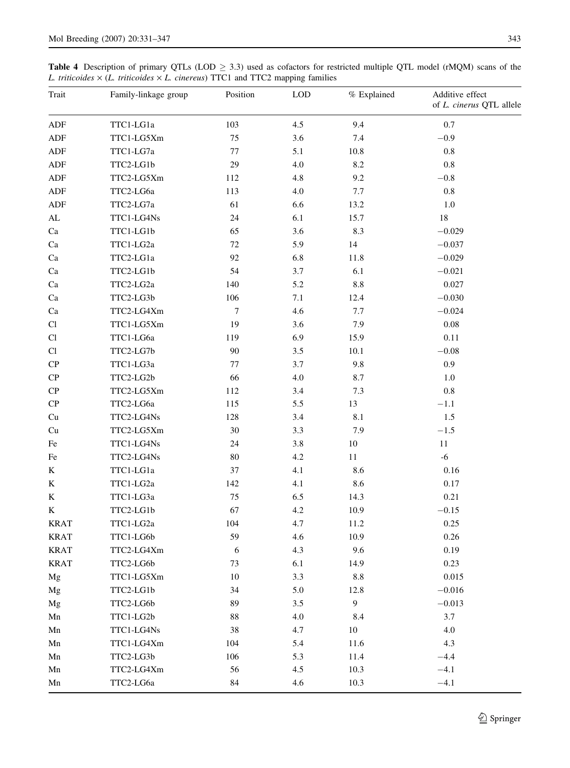<span id="page-12-0"></span>**Table 4** Description of primary QTLs (LOD  $\geq$  3.3) used as cofactors for restricted multiple QTL model (rMQM) scans of the L. triticoides  $\times$  (L. triticoides  $\times$  L. cinereus) TTC1 and TTC2 mapping families

| Trait                      | Family-linkage group | Position       | <b>LOD</b> | % Explained | Additive effect<br>of L. cinerus QTL allele |
|----------------------------|----------------------|----------------|------------|-------------|---------------------------------------------|
| ADF                        | TTC1-LG1a            | 103            | 4.5        | 9.4         | 0.7                                         |
| ADF                        | TTC1-LG5Xm           | 75             | 3.6        | 7.4         | $-0.9$                                      |
| ${\sf ADF}$                | TTC1-LG7a            | 77             | 5.1        | 10.8        | $0.8\,$                                     |
| ADF                        | TTC2-LG1b            | 29             | 4.0        | 8.2         | $0.8\,$                                     |
| ADF                        | TTC2-LG5Xm           | 112            | 4.8        | 9.2         | $-0.8$                                      |
| ADF                        | TTC2-LG6a            | 113            | 4.0        | 7.7         | $0.8\,$                                     |
| ADF                        | TTC2-LG7a            | 61             | 6.6        | 13.2        | 1.0                                         |
| $\mathbf{AL}$              | TTC1-LG4Ns           | 24             | 6.1        | 15.7        | 18                                          |
| $\rm Ca$                   | TTC1-LG1b            | 65             | 3.6        | 8.3         | $-0.029$                                    |
| Ca                         | TTC1-LG2a            | 72             | 5.9        | 14          | $-0.037$                                    |
| Ca                         | TTC2-LG1a            | 92             | 6.8        | 11.8        | $-0.029$                                    |
| Ca                         | TTC2-LG1b            | 54             | 3.7        | 6.1         | $-0.021$                                    |
| Ca                         | TTC2-LG2a            | 140            | 5.2        | $8.8\,$     | 0.027                                       |
| Ca                         | TTC2-LG3b            | 106            | 7.1        | 12.4        | $-0.030$                                    |
| Ca                         | TTC2-LG4Xm           | $\overline{7}$ | 4.6        | 7.7         | $-0.024$                                    |
| $\mathop{\rm Cl}\nolimits$ | TTC1-LG5Xm           | 19             | 3.6        | 7.9         | $0.08\,$                                    |
| Cl                         | TTC1-LG6a            | 119            | 6.9        | 15.9        | 0.11                                        |
| $\mathop{\rm Cl}\nolimits$ | TTC2-LG7b            | 90             | 3.5        | $10.1\,$    | $-0.08$                                     |
| ${\bf CP}$                 | TTC1-LG3a            | 77             | 3.7        | 9.8         | 0.9                                         |
| ${\bf CP}$                 | TTC2-LG2b            | 66             | 4.0        | 8.7         | 1.0                                         |
| ${\bf CP}$                 | TTC2-LG5Xm           | 112            | 3.4        | 7.3         | $\rm 0.8$                                   |
| ${\bf CP}$                 | TTC2-LG6a            | 115            | 5.5        | 13          | $-1.1$                                      |
| Cu                         | TTC2-LG4Ns           | 128            | 3.4        | $8.1\,$     | $1.5\,$                                     |
| Cu                         | TTC2-LG5Xm           | 30             | 3.3        | 7.9         | $-1.5$                                      |
| $\rm Fe$                   | TTC1-LG4Ns           | 24             | $3.8\,$    | $10\,$      | $11\,$                                      |
| Fe                         | TTC2-LG4Ns           | 80             | 4.2        | 11          | $-6$                                        |
| K                          | TTC1-LG1a            | 37             | 4.1        | 8.6         | 0.16                                        |
| K                          | TTC1-LG2a            | 142            | 4.1        | 8.6         | $0.17\,$                                    |
| K                          | TTC1-LG3a            | 75             | 6.5        | 14.3        | 0.21                                        |
| K                          | TTC2-LG1b            | 67             | $4.2\,$    | 10.9        | $-0.15$                                     |
| <b>KRAT</b>                | TTC1-LG2a            | 104            | 4.7        | 11.2        | 0.25                                        |
| <b>KRAT</b>                | TTC1-LG6b            | 59             | 4.6        | 10.9        | 0.26                                        |
| <b>KRAT</b>                | TTC2-LG4Xm           | 6              | 4.3        | 9.6         | 0.19                                        |
| <b>KRAT</b>                | TTC2-LG6b            | 73             | 6.1        | 14.9        | 0.23                                        |
| Mg                         | TTC1-LG5Xm           | 10             | 3.3        | $8.8\,$     | 0.015                                       |
| Mg                         | TTC2-LG1b            | 34             | $5.0\,$    | 12.8        | $-0.016$                                    |
| Mg                         | TTC2-LG6b            | 89             | $3.5\,$    | 9           | $-0.013$                                    |
| Mn                         | TTC1-LG2b            | 88             | 4.0        | 8.4         | 3.7                                         |
| Mn                         | TTC1-LG4Ns           | 38             | 4.7        | 10          | 4.0                                         |
| Mn                         | TTC1-LG4Xm           | 104            | 5.4        | 11.6        | 4.3                                         |
| Mn                         | TTC2-LG3b            | 106            | 5.3        | 11.4        | $-4.4$                                      |
| Mn                         | TTC2-LG4Xm           | 56             | 4.5        | 10.3        | $-4.1$                                      |
| Mn                         | TTC2-LG6a            | 84             | 4.6        | 10.3        | $-4.1$                                      |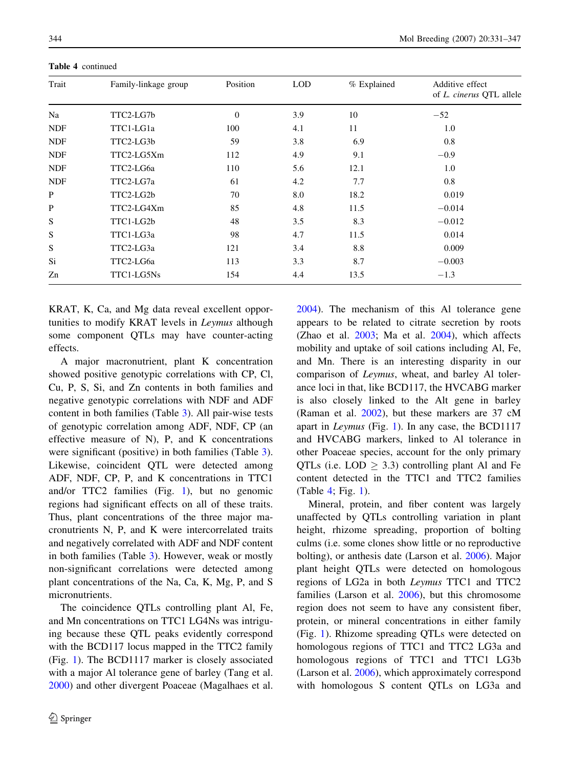| Trait      | Family-linkage group | Position | <b>LOD</b> | % Explained | Additive effect<br>of L. cinerus QTL allele |
|------------|----------------------|----------|------------|-------------|---------------------------------------------|
| Na         | TTC2-LG7b            | $\Omega$ | 3.9        | 10          | $-52$                                       |
| <b>NDF</b> | TTC1-LG1a            | 100      | 4.1        | 11          | 1.0                                         |
| <b>NDF</b> | TTC2-LG3b            | 59       | 3.8        | 6.9         | 0.8                                         |
| <b>NDF</b> | TTC2-LG5Xm           | 112      | 4.9        | 9.1         | $-0.9$                                      |
| <b>NDF</b> | TTC2-LG6a            | 110      | 5.6        | 12.1        | 1.0                                         |
| <b>NDF</b> | TTC2-LG7a            | 61       | 4.2        | 7.7         | 0.8                                         |
| P          | TTC2-LG2b            | 70       | 8.0        | 18.2        | 0.019                                       |
| P          | TTC2-LG4Xm           | 85       | 4.8        | 11.5        | $-0.014$                                    |
| S          | TTC1-LG2b            | 48       | 3.5        | 8.3         | $-0.012$                                    |
| S          | TTC1-LG3a            | 98       | 4.7        | 11.5        | 0.014                                       |
| S          | TTC2-LG3a            | 121      | 3.4        | 8.8         | 0.009                                       |
| Si         | TTC2-LG6a            | 113      | 3.3        | 8.7         | $-0.003$                                    |
| Zn         | TTC1-LG5Ns           | 154      | 4.4        | 13.5        | $-1.3$                                      |

Table 4 continued

KRAT, K, Ca, and Mg data reveal excellent opportunities to modify KRAT levels in Leymus although some component QTLs may have counter-acting effects.

A major macronutrient, plant K concentration showed positive genotypic correlations with CP, Cl, Cu, P, S, Si, and Zn contents in both families and negative genotypic correlations with NDF and ADF content in both families (Table [3\)](#page-11-0). All pair-wise tests of genotypic correlation among ADF, NDF, CP (an effective measure of N), P, and K concentrations were significant (positive) in both families (Table [3](#page-11-0)). Likewise, coincident QTL were detected among ADF, NDF, CP, P, and K concentrations in TTC1 and/or TTC2 families (Fig. [1](#page-4-0)), but no genomic regions had significant effects on all of these traits. Thus, plant concentrations of the three major macronutrients N, P, and K were intercorrelated traits and negatively correlated with ADF and NDF content in both families (Table [3](#page-11-0)). However, weak or mostly non-significant correlations were detected among plant concentrations of the Na, Ca, K, Mg, P, and S micronutrients.

The coincidence QTLs controlling plant Al, Fe, and Mn concentrations on TTC1 LG4Ns was intriguing because these QTL peaks evidently correspond with the BCD117 locus mapped in the TTC2 family (Fig. [1](#page-4-0)). The BCD1117 marker is closely associated with a major Al tolerance gene of barley (Tang et al. [2000\)](#page-15-0) and other divergent Poaceae (Magalhaes et al. [2004\)](#page-15-0). The mechanism of this Al tolerance gene appears to be related to citrate secretion by roots (Zhao et al. [2003;](#page-16-0) Ma et al. [2004](#page-15-0)), which affects mobility and uptake of soil cations including Al, Fe, and Mn. There is an interesting disparity in our comparison of Leymus, wheat, and barley Al tolerance loci in that, like BCD117, the HVCABG marker is also closely linked to the Alt gene in barley (Raman et al. [2002\)](#page-15-0), but these markers are 37 cM apart in Leymus (Fig. [1\)](#page-4-0). In any case, the BCD1117 and HVCABG markers, linked to Al tolerance in other Poaceae species, account for the only primary QTLs (i.e.  $\text{LOD} \geq 3.3$ ) controlling plant Al and Fe content detected in the TTC1 and TTC2 families (Table [4](#page-12-0); Fig. [1\)](#page-4-0).

Mineral, protein, and fiber content was largely unaffected by QTLs controlling variation in plant height, rhizome spreading, proportion of bolting culms (i.e. some clones show little or no reproductive bolting), or anthesis date (Larson et al. [2006\)](#page-15-0). Major plant height QTLs were detected on homologous regions of LG2a in both Leymus TTC1 and TTC2 families (Larson et al. [2006\)](#page-15-0), but this chromosome region does not seem to have any consistent fiber, protein, or mineral concentrations in either family (Fig. [1](#page-4-0)). Rhizome spreading QTLs were detected on homologous regions of TTC1 and TTC2 LG3a and homologous regions of TTC1 and TTC1 LG3b (Larson et al. [2006](#page-15-0)), which approximately correspond with homologous S content QTLs on LG3a and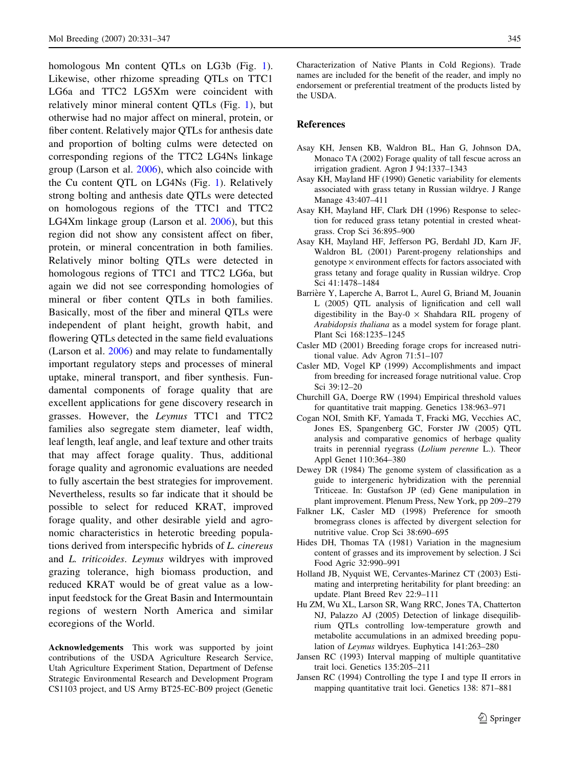<span id="page-14-0"></span>homologous Mn content QTLs on LG3b (Fig. [1](#page-4-0)). Likewise, other rhizome spreading QTLs on TTC1 LG6a and TTC2 LG5Xm were coincident with relatively minor mineral content QTLs (Fig. [1\)](#page-4-0), but otherwise had no major affect on mineral, protein, or fiber content. Relatively major QTLs for anthesis date and proportion of bolting culms were detected on corresponding regions of the TTC2 LG4Ns linkage group (Larson et al. [2006](#page-15-0)), which also coincide with the Cu content QTL on LG4Ns (Fig. [1](#page-4-0)). Relatively strong bolting and anthesis date QTLs were detected on homologous regions of the TTC1 and TTC2 LG4Xm linkage group (Larson et al. [2006](#page-15-0)), but this region did not show any consistent affect on fiber, protein, or mineral concentration in both families. Relatively minor bolting QTLs were detected in homologous regions of TTC1 and TTC2 LG6a, but again we did not see corresponding homologies of mineral or fiber content QTLs in both families. Basically, most of the fiber and mineral QTLs were independent of plant height, growth habit, and flowering QTLs detected in the same field evaluations (Larson et al. [2006\)](#page-15-0) and may relate to fundamentally important regulatory steps and processes of mineral uptake, mineral transport, and fiber synthesis. Fundamental components of forage quality that are excellent applications for gene discovery research in grasses. However, the Leymus TTC1 and TTC2 families also segregate stem diameter, leaf width, leaf length, leaf angle, and leaf texture and other traits that may affect forage quality. Thus, additional forage quality and agronomic evaluations are needed to fully ascertain the best strategies for improvement. Nevertheless, results so far indicate that it should be possible to select for reduced KRAT, improved forage quality, and other desirable yield and agronomic characteristics in heterotic breeding populations derived from interspecific hybrids of L. cinereus and L. triticoides. Leymus wildryes with improved grazing tolerance, high biomass production, and reduced KRAT would be of great value as a lowinput feedstock for the Great Basin and Intermountain regions of western North America and similar ecoregions of the World.

Acknowledgements This work was supported by joint contributions of the USDA Agriculture Research Service, Utah Agriculture Experiment Station, Department of Defense Strategic Environmental Research and Development Program CS1103 project, and US Army BT25-EC-B09 project (Genetic

Characterization of Native Plants in Cold Regions). Trade names are included for the benefit of the reader, and imply no endorsement or preferential treatment of the products listed by the USDA.

#### References

- Asay KH, Jensen KB, Waldron BL, Han G, Johnson DA, Monaco TA (2002) Forage quality of tall fescue across an irrigation gradient. Agron J 94:1337–1343
- Asay KH, Mayland HF (1990) Genetic variability for elements associated with grass tetany in Russian wildrye. J Range Manage 43:407–411
- Asay KH, Mayland HF, Clark DH (1996) Response to selection for reduced grass tetany potential in crested wheatgrass. Crop Sci 36:895–900
- Asay KH, Mayland HF, Jefferson PG, Berdahl JD, Karn JF, Waldron BL (2001) Parent-progeny relationships and genotype  $\times$  environment effects for factors associated with grass tetany and forage quality in Russian wildrye. Crop Sci 41:1478–1484
- Barrière Y, Laperche A, Barrot L, Aurel G, Briand M, Jouanin L (2005) QTL analysis of lignification and cell wall digestibility in the Bay- $0 \times$  Shahdara RIL progeny of Arabidopsis thaliana as a model system for forage plant. Plant Sci 168:1235–1245
- Casler MD (2001) Breeding forage crops for increased nutritional value. Adv Agron 71:51–107
- Casler MD, Vogel KP (1999) Accomplishments and impact from breeding for increased forage nutritional value. Crop Sci 39:12–20
- Churchill GA, Doerge RW (1994) Empirical threshold values for quantitative trait mapping. Genetics 138:963–971
- Cogan NOI, Smith KF, Yamada T, Fracki MG, Vecchies AC, Jones ES, Spangenberg GC, Forster JW (2005) QTL analysis and comparative genomics of herbage quality traits in perennial ryegrass (Lolium perenne L.). Theor Appl Genet 110:364–380
- Dewey DR (1984) The genome system of classification as a guide to intergeneric hybridization with the perennial Triticeae. In: Gustafson JP (ed) Gene manipulation in plant improvement. Plenum Press, New York, pp 209–279
- Falkner LK, Casler MD (1998) Preference for smooth bromegrass clones is affected by divergent selection for nutritive value. Crop Sci 38:690–695
- Hides DH, Thomas TA (1981) Variation in the magnesium content of grasses and its improvement by selection. J Sci Food Agric 32:990–991
- Holland JB, Nyquist WE, Cervantes-Marinez CT (2003) Estimating and interpreting heritability for plant breeding: an update. Plant Breed Rev 22:9–111
- Hu ZM, Wu XL, Larson SR, Wang RRC, Jones TA, Chatterton NJ, Palazzo AJ (2005) Detection of linkage disequilibrium QTLs controlling low-temperature growth and metabolite accumulations in an admixed breeding population of Leymus wildryes. Euphytica 141:263–280
- Jansen RC (1993) Interval mapping of multiple quantitative trait loci. Genetics 135:205–211
- Jansen RC (1994) Controlling the type I and type II errors in mapping quantitative trait loci. Genetics 138: 871–881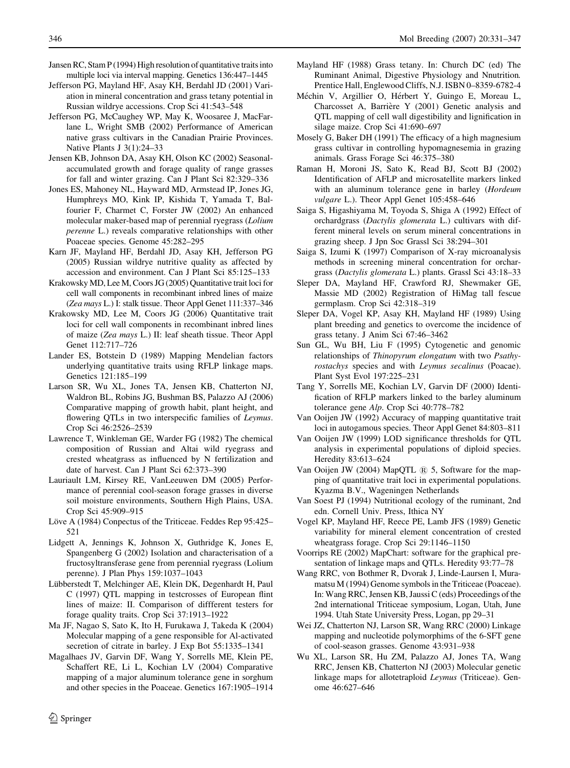- <span id="page-15-0"></span>Jansen RC, Stam P (1994) High resolution of quantitative traits into multiple loci via interval mapping. Genetics 136:447–1445
- Jefferson PG, Mayland HF, Asay KH, Berdahl JD (2001) Variation in mineral concentration and grass tetany potential in Russian wildrye accessions. Crop Sci 41:543–548
- Jefferson PG, McCaughey WP, May K, Woosaree J, MacFarlane L, Wright SMB (2002) Performance of American native grass cultivars in the Canadian Prairie Provinces. Native Plants J 3(1):24–33
- Jensen KB, Johnson DA, Asay KH, Olson KC (2002) Seasonalaccumulated growth and forage quality of range grasses for fall and winter grazing. Can J Plant Sci 82:329–336
- Jones ES, Mahoney NL, Hayward MD, Armstead IP, Jones JG, Humphreys MO, Kink IP, Kishida T, Yamada T, Balfourier F, Charmet C, Forster JW (2002) An enhanced molecular maker-based map of perennial ryegrass (Lolium perenne L.) reveals comparative relationships with other Poaceae species. Genome 45:282–295
- Karn JF, Mayland HF, Berdahl JD, Asay KH, Jefferson PG (2005) Russian wildrye nutritive quality as affected by accession and environment. Can J Plant Sci 85:125–133
- Krakowsky MD, Lee M, Coors JG (2005) Quantitative trait loci for cell wall components in recombinant inbred lines of maize (Zea mays L.) I: stalk tissue. Theor Appl Genet 111:337–346
- Krakowsky MD, Lee M, Coors JG (2006) Quantitative trait loci for cell wall components in recombinant inbred lines of maize (Zea mays L.) II: leaf sheath tissue. Theor Appl Genet 112:717–726
- Lander ES, Botstein D (1989) Mapping Mendelian factors underlying quantitative traits using RFLP linkage maps. Genetics 121:185–199
- Larson SR, Wu XL, Jones TA, Jensen KB, Chatterton NJ, Waldron BL, Robins JG, Bushman BS, Palazzo AJ (2006) Comparative mapping of growth habit, plant height, and flowering QTLs in two interspecific families of Leymus. Crop Sci 46:2526–2539
- Lawrence T, Winkleman GE, Warder FG (1982) The chemical composition of Russian and Altai wild ryegrass and crested wheatgrass as influenced by N fertilization and date of harvest. Can J Plant Sci 62:373–390
- Lauriault LM, Kirsey RE, VanLeeuwen DM (2005) Performance of perennial cool-season forage grasses in diverse soil moisture environments, Southern High Plains, USA. Crop Sci 45:909–915
- Löve A (1984) Conpectus of the Triticeae. Feddes Rep 95:425– 521
- Lidgett A, Jennings K, Johnson X, Guthridge K, Jones E, Spangenberg G (2002) Isolation and characterisation of a fructosyltransferase gene from perennial ryegrass (Lolium perenne). J Plan Phys 159:1037–1043
- Lübberstedt T, Melchinger AE, Klein DK, Degenhardt H, Paul C (1997) QTL mapping in testcrosses of European flint lines of maize: II. Comparison of diffferent testers for forage quality traits. Crop Sci 37:1913–1922
- Ma JF, Nagao S, Sato K, Ito H, Furukawa J, Takeda K (2004) Molecular mapping of a gene responsible for Al-activated secretion of citrate in barley. J Exp Bot 55:1335–1341
- Magalhaes JV, Garvin DF, Wang Y, Sorrells ME, Klein PE, Schaffert RE, Li L, Kochian LV (2004) Comparative mapping of a major aluminum tolerance gene in sorghum and other species in the Poaceae. Genetics 167:1905–1914
- Mayland HF (1988) Grass tetany. In: Church DC (ed) The Ruminant Animal, Digestive Physiology and Nnutrition. Prentice Hall, Englewood Cliffs, N.J. ISBN 0–8359-6782-4
- Méchin V, Argillier O, Hérbert Y, Guingo E, Moreau L, Charcosset A, Barrière Y (2001) Genetic analysis and QTL mapping of cell wall digestibility and lignification in silage maize. Crop Sci 41:690–697
- Mosely G, Baker DH (1991) The efficacy of a high magnesium grass cultivar in controlling hypomagnesemia in grazing animals. Grass Forage Sci 46:375–380
- Raman H, Moroni JS, Sato K, Read BJ, Scott BJ (2002) Identification of AFLP and microsatellite markers linked with an aluminum tolerance gene in barley (Hordeum vulgare L.). Theor Appl Genet 105:458–646
- Saiga S, Higashiyama M, Toyoda S, Shiga A (1992) Effect of orchardgrass (Dactylis glomerata L.) cultivars with different mineral levels on serum mineral concentrations in grazing sheep. J Jpn Soc Grassl Sci 38:294–301
- Saiga S, Izumi K (1997) Comparison of X-ray microanalysis methods in screening mineral concentration for orchargrass (Dactylis glomerata L.) plants. Grassl Sci 43:18–33
- Sleper DA, Mayland HF, Crawford RJ, Shewmaker GE, Massie MD (2002) Registration of HiMag tall fescue germplasm. Crop Sci 42:318–319
- Sleper DA, Vogel KP, Asay KH, Mayland HF (1989) Using plant breeding and genetics to overcome the incidence of grass tetany. J Anim Sci 67:46–3462
- Sun GL, Wu BH, Liu F (1995) Cytogenetic and genomic relationships of Thinopyrum elongatum with two Psathyrostachys species and with Leymus secalinus (Poacae). Plant Syst Evol 197:225–231
- Tang Y, Sorrells ME, Kochian LV, Garvin DF (2000) Identification of RFLP markers linked to the barley aluminum tolerance gene Alp. Crop Sci 40:778–782
- Van Ooijen JW (1992) Accuracy of mapping quantitative trait loci in autogamous species. Theor Appl Genet 84:803–811
- Van Ooijen JW (1999) LOD significance thresholds for QTL analysis in experimental populations of diploid species. Heredity 83:613–624
- Van Ooijen JW (2004) MapQTL <sup>®</sup> 5, Software for the mapping of quantitative trait loci in experimental populations. Kyazma B.V., Wageningen Netherlands
- Van Soest PJ (1994) Nutritional ecology of the ruminant, 2nd edn. Cornell Univ. Press, Ithica NY
- Vogel KP, Mayland HF, Reece PE, Lamb JFS (1989) Genetic variability for mineral element concentration of crested wheatgrass forage. Crop Sci 29:1146–1150
- Voorrips RE (2002) MapChart: software for the graphical presentation of linkage maps and QTLs. Heredity 93:77–78
- Wang RRC, von Bothmer R, Dvorak J, Linde-Laursen I, Muramatsu M (1994) Genome symbols in the Triticeae (Poaceae). In: Wang RRC, Jensen KB, Jaussi C (eds) Proceedings of the 2nd international Triticeae symposium, Logan, Utah, June 1994. Utah State University Press, Logan, pp 29–31
- Wei JZ, Chatterton NJ, Larson SR, Wang RRC (2000) Linkage mapping and nucleotide polymorphims of the 6-SFT gene of cool-season grasses. Genome 43:931–938
- Wu XL, Larson SR, Hu ZM, Palazzo AJ, Jones TA, Wang RRC, Jensen KB, Chatterton NJ (2003) Molecular genetic linkage maps for allotetraploid Leymus (Triticeae). Genome 46:627–646